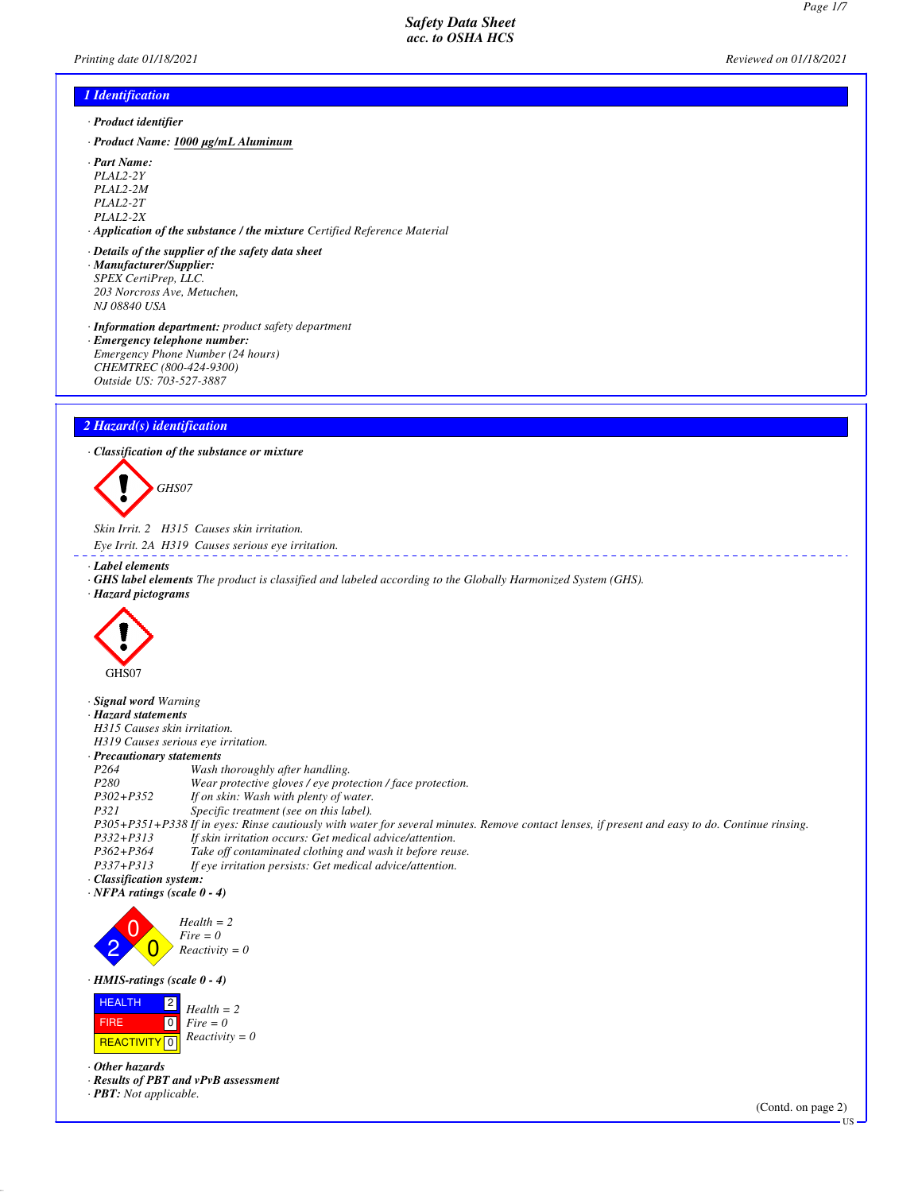*Printing date 01/18/2021 Reviewed on 01/18/2021*

# *1 Identification*

- *· Product identifier*
- *· Product Name: 1000 µg/mL Aluminum*
- *· Part Name:*
- *PLAL2-2Y*
- *PLAL2-2M PLAL2-2T*
- *PLAL2-2X*
- *· Application of the substance / the mixture Certified Reference Material*
- *· Details of the supplier of the safety data sheet · Manufacturer/Supplier: SPEX CertiPrep, LLC. 203 Norcross Ave, Metuchen, NJ 08840 USA*
- *· Information department: product safety department*
- *· Emergency telephone number: Emergency Phone Number (24 hours) CHEMTREC (800-424-9300) Outside US: 703-527-3887*

## *2 Hazard(s) identification*

*· Classification of the substance or mixture*



*Skin Irrit. 2 H315 Causes skin irritation.*

- *Eye Irrit. 2A H319 Causes serious eye irritation.*
- *· Label elements*
- *· GHS label elements The product is classified and labeled according to the Globally Harmonized System (GHS).*
- *· Hazard pictograms*



*· Signal word Warning*

- *· Hazard statements*
- *H315 Causes skin irritation.*
- *H319 Causes serious eye irritation.*

| · Precautionary statements |                                                                                                                                                 |
|----------------------------|-------------------------------------------------------------------------------------------------------------------------------------------------|
| P <sub>264</sub>           | Wash thoroughly after handling.                                                                                                                 |
| P <sub>280</sub>           | Wear protective gloves / eye protection / face protection.                                                                                      |
| $P302 + P352$              | If on skin: Wash with plenty of water.                                                                                                          |
| P321                       | Specific treatment (see on this label).                                                                                                         |
|                            | P305+P351+P338 If in eyes: Rinse cautiously with water for several minutes. Remove contact lenses, if present and easy to do. Continue rinsing. |
| $P332 + P313$              | If skin irritation occurs: Get medical advice/attention.                                                                                        |
| P362+P364                  | Take off contaminated clothing and wash it before reuse.                                                                                        |
| <i>P337+P313</i>           | If eye irritation persists: Get medical advice/attention.                                                                                       |
| · Classification system:   |                                                                                                                                                 |

*· NFPA ratings (scale 0 - 4)*



*· HMIS-ratings (scale 0 - 4)*



*· Other hazards*

*· Results of PBT and vPvB assessment*

*· PBT: Not applicable.*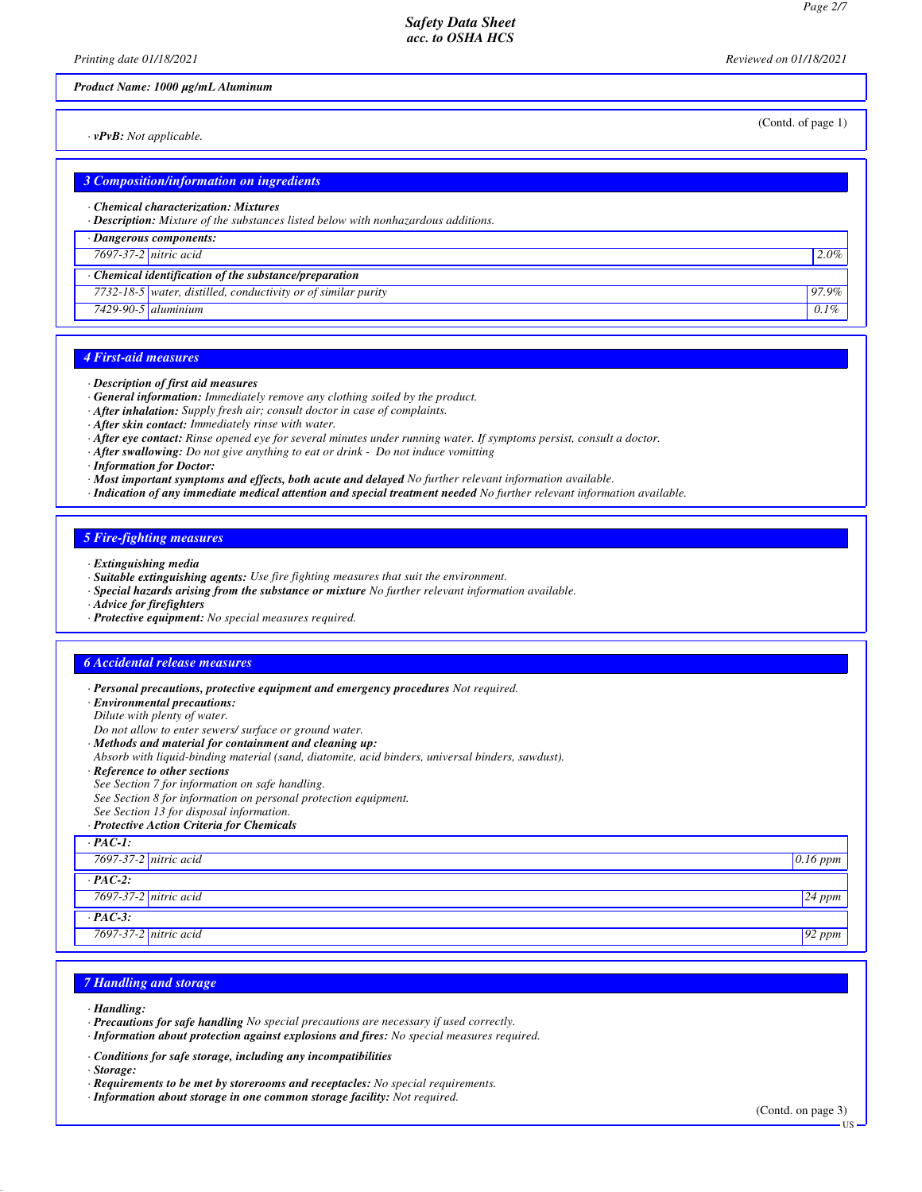*Printing date 01/18/2021 Reviewed on 01/18/2021*

#### *Product Name: 1000 µg/mL Aluminum*

*· vPvB: Not applicable.*

(Contd. of page 1)

|                       | <b>3 Composition/information on ingredients</b>                                                                           |         |
|-----------------------|---------------------------------------------------------------------------------------------------------------------------|---------|
|                       | Chemical characterization: Mixtures<br>· Description: Mixture of the substances listed below with nonhazardous additions. |         |
|                       | · Dangerous components:                                                                                                   |         |
| 7697-37-2 nitric acid |                                                                                                                           | 2.0%    |
|                       | $\cdot$ Chemical identification of the substance/preparation                                                              |         |
|                       | 7732-18-5 water, distilled, conductivity or of similar purity                                                             | 97.9%   |
|                       | $7429-90-5$ aluminium                                                                                                     | $0.1\%$ |
|                       |                                                                                                                           |         |

## *4 First-aid measures*

#### *· Description of first aid measures*

- *· General information: Immediately remove any clothing soiled by the product.*
- *· After inhalation: Supply fresh air; consult doctor in case of complaints.*
- *· After skin contact: Immediately rinse with water.*
- *· After eye contact: Rinse opened eye for several minutes under running water. If symptoms persist, consult a doctor.*
- *· After swallowing: Do not give anything to eat or drink Do not induce vomitting*

*· Information for Doctor:*

- *· Most important symptoms and effects, both acute and delayed No further relevant information available.*
- *· Indication of any immediate medical attention and special treatment needed No further relevant information available.*

## *5 Fire-fighting measures*

- *· Extinguishing media*
- *· Suitable extinguishing agents: Use fire fighting measures that suit the environment.*
- *· Special hazards arising from the substance or mixture No further relevant information available.*
- *· Advice for firefighters*
- *· Protective equipment: No special measures required.*

## *6 Accidental release measures*

- *· Personal precautions, protective equipment and emergency procedures Not required.*
- *· Environmental precautions:*
- *Dilute with plenty of water.*
- *Do not allow to enter sewers/ surface or ground water.*
- *· Methods and material for containment and cleaning up:*
- *Absorb with liquid-binding material (sand, diatomite, acid binders, universal binders, sawdust).*
- *· Reference to other sections*
- *See Section 7 for information on safe handling.*

*See Section 8 for information on personal protection equipment.*

*See Section 13 for disposal information.*

*· Protective Action Criteria for Chemicals*

| $PAC-I$ :             |            |
|-----------------------|------------|
| 7697-37-2 nitric acid | $0.16$ ppm |
| $PAC-2$ :             |            |
| 7697-37-2 nitric acid | $24$ ppm   |
| $PAC-3$ :             |            |
| 7697-37-2 nitric acid | $92$ ppm   |

#### *7 Handling and storage*

- *· Handling:*
- *· Precautions for safe handling No special precautions are necessary if used correctly.*
- *· Information about protection against explosions and fires: No special measures required.*
- *· Conditions for safe storage, including any incompatibilities*
- *· Storage:*
- *· Requirements to be met by storerooms and receptacles: No special requirements.*
- *· Information about storage in one common storage facility: Not required.*

(Contd. on page 3)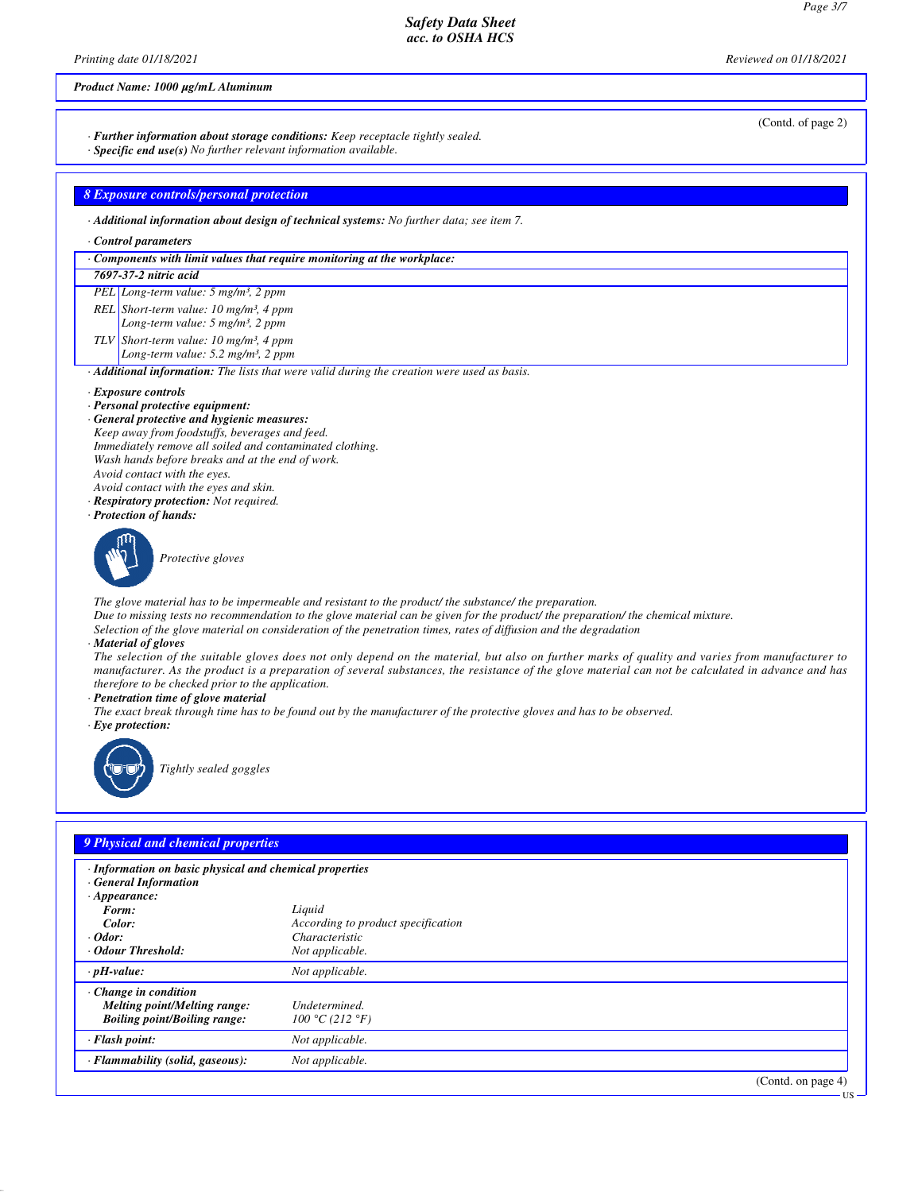*Printing date 01/18/2021 Reviewed on 01/18/2021*

## *Product Name: 1000 µg/mL Aluminum*

*· Further information about storage conditions: Keep receptacle tightly sealed.*

*· Specific end use(s) No further relevant information available.*

*8 Exposure controls/personal protection*

*· Additional information about design of technical systems: No further data; see item 7.*

#### *· Control parameters*

*· Components with limit values that require monitoring at the workplace:*

## *7697-37-2 nitric acid*

*PEL Long-term value: 5 mg/m³, 2 ppm REL Short-term value: 10 mg/m³, 4 ppm Long-term value: 5 mg/m³, 2 ppm TLV Short-term value: 10 mg/m³, 4 ppm*

*Long-term value: 5.2 mg/m³, 2 ppm*

*· Additional information: The lists that were valid during the creation were used as basis.*

#### *· Exposure controls*

- *· Personal protective equipment:*
- *· General protective and hygienic measures:*
- *Keep away from foodstuffs, beverages and feed. Immediately remove all soiled and contaminated clothing. Wash hands before breaks and at the end of work.*
- *Avoid contact with the eyes.*
- *Avoid contact with the eyes and skin. · Respiratory protection: Not required.*
- 
- *· Protection of hands:*



*Protective gloves*

*The glove material has to be impermeable and resistant to the product/ the substance/ the preparation.*

*Due to missing tests no recommendation to the glove material can be given for the product/ the preparation/ the chemical mixture.*

*Selection of the glove material on consideration of the penetration times, rates of diffusion and the degradation*

#### *· Material of gloves*

*The selection of the suitable gloves does not only depend on the material, but also on further marks of quality and varies from manufacturer to manufacturer. As the product is a preparation of several substances, the resistance of the glove material can not be calculated in advance and has therefore to be checked prior to the application.*

*· Penetration time of glove material*

*The exact break through time has to be found out by the manufacturer of the protective gloves and has to be observed.*

*· Eye protection:*



*Tightly sealed goggles*

## *9 Physical and chemical properties*

| · Information on basic physical and chemical properties<br><b>General Information</b><br>$\cdot$ Appearance: |                                                       |
|--------------------------------------------------------------------------------------------------------------|-------------------------------------------------------|
| Form:                                                                                                        | Liquid                                                |
| Color:<br>$\cdot$ Odor:                                                                                      | According to product specification<br>Characteristic  |
|                                                                                                              |                                                       |
| Odour Threshold:                                                                                             | Not applicable.                                       |
| $\cdot$ pH-value:                                                                                            | Not applicable.                                       |
| $\cdot$ Change in condition<br>Melting point/Melting range:<br><b>Boiling point/Boiling range:</b>           | Undetermined.<br>100 °C (212 °F)                      |
| $\cdot$ Flash point:                                                                                         | Not applicable.                                       |
| · Flammability (solid, gaseous):                                                                             | Not applicable.                                       |
|                                                                                                              | $(C_{\text{out}} 1_{\text{out}} \dots \dots \dots 1)$ |

(Contd. on page

(Contd. of page 2)

US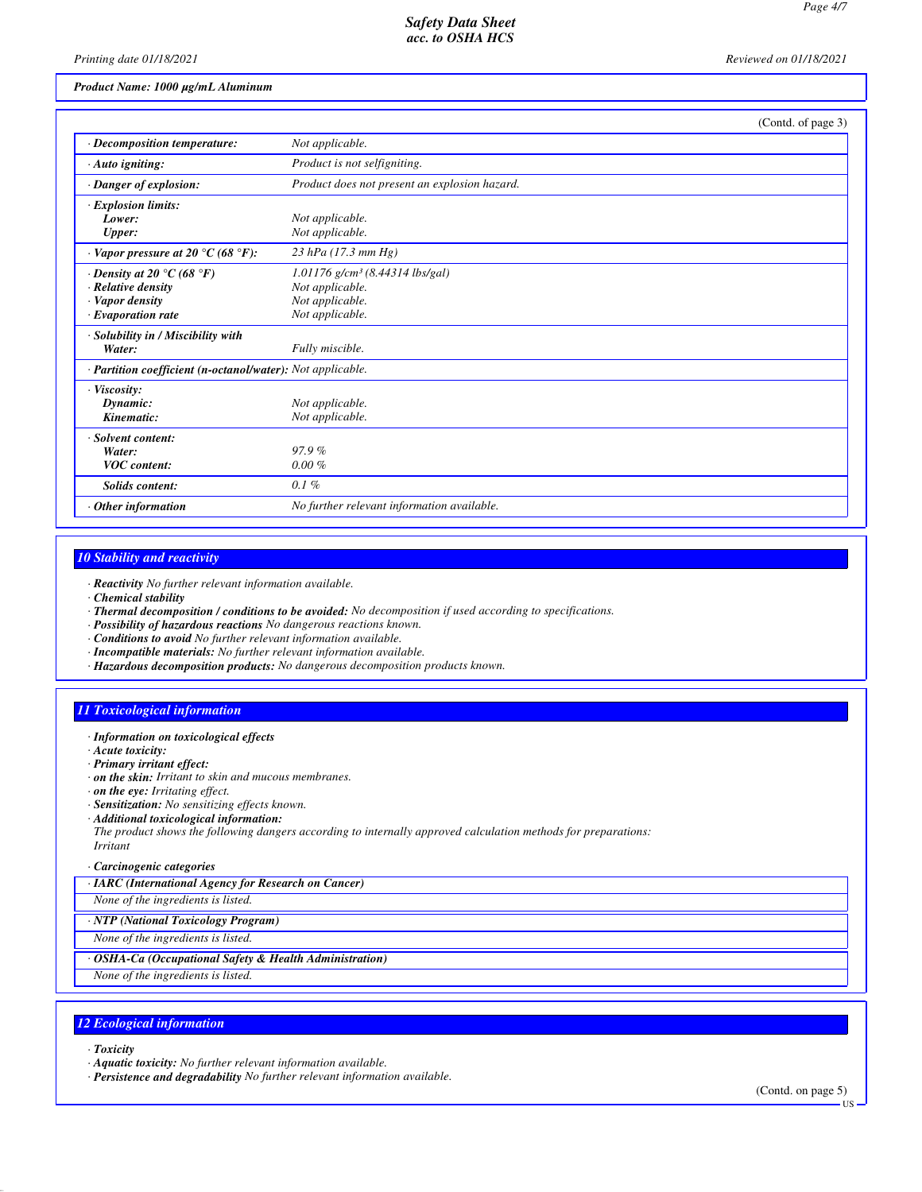*Printing date 01/18/2021 Reviewed on 01/18/2021*

## *Product Name: 1000 µg/mL Aluminum*

|                                                            | (Contd. of page 3)                            |  |
|------------------------------------------------------------|-----------------------------------------------|--|
| · Decomposition temperature:                               | Not applicable.                               |  |
| $\cdot$ Auto igniting:                                     | Product is not selfigniting.                  |  |
| · Danger of explosion:                                     | Product does not present an explosion hazard. |  |
| $\cdot$ Explosion limits:                                  |                                               |  |
| Lower:                                                     | Not applicable.                               |  |
| Upper:                                                     | Not applicable.                               |  |
| Vapor pressure at 20 $^{\circ}$ C (68 $^{\circ}$ F):       | $23$ hPa (17.3 mm Hg)                         |  |
| $\cdot$ Density at 20 $\degree$ C (68 $\degree$ F)         | $1.01176$ g/cm <sup>3</sup> (8.44314 lbs/gal) |  |
| · Relative density                                         | Not applicable.                               |  |
| Vapor density                                              | Not applicable.                               |  |
| $\cdot$ Evaporation rate                                   | Not applicable.                               |  |
| · Solubility in / Miscibility with                         |                                               |  |
| Water:                                                     | Fully miscible.                               |  |
| · Partition coefficient (n-octanol/water): Not applicable. |                                               |  |
| · Viscosity:                                               |                                               |  |
| Dynamic:                                                   | Not applicable.                               |  |
| Kinematic:                                                 | Not applicable.                               |  |
| · Solvent content:                                         |                                               |  |
| Water:                                                     | 97.9%                                         |  |
| <b>VOC</b> content:                                        | $0.00 \%$                                     |  |
| <b>Solids content:</b>                                     | 0.1%                                          |  |
| Other information                                          | No further relevant information available.    |  |

#### *10 Stability and reactivity*

*· Reactivity No further relevant information available.*

- *· Chemical stability*
- *· Thermal decomposition / conditions to be avoided: No decomposition if used according to specifications.*
- *· Possibility of hazardous reactions No dangerous reactions known.*
- *· Conditions to avoid No further relevant information available.*
- *· Incompatible materials: No further relevant information available.*
- *· Hazardous decomposition products: No dangerous decomposition products known.*

#### *11 Toxicological information*

- *· Information on toxicological effects*
- *· Acute toxicity:*
- *· Primary irritant effect:*
- *· on the skin: Irritant to skin and mucous membranes.*
- *· on the eye: Irritating effect.*
- *· Sensitization: No sensitizing effects known.*
- *· Additional toxicological information:*

*The product shows the following dangers according to internally approved calculation methods for preparations:*

- *Irritant*
- *· Carcinogenic categories*
- *· IARC (International Agency for Research on Cancer)*
- *None of the ingredients is listed.*

*· NTP (National Toxicology Program)*

*None of the ingredients is listed.*

*· OSHA-Ca (Occupational Safety & Health Administration)*

*None of the ingredients is listed.*

## *12 Ecological information*

*· Toxicity*

*· Aquatic toxicity: No further relevant information available.*

*· Persistence and degradability No further relevant information available.*

(Contd. on page 5)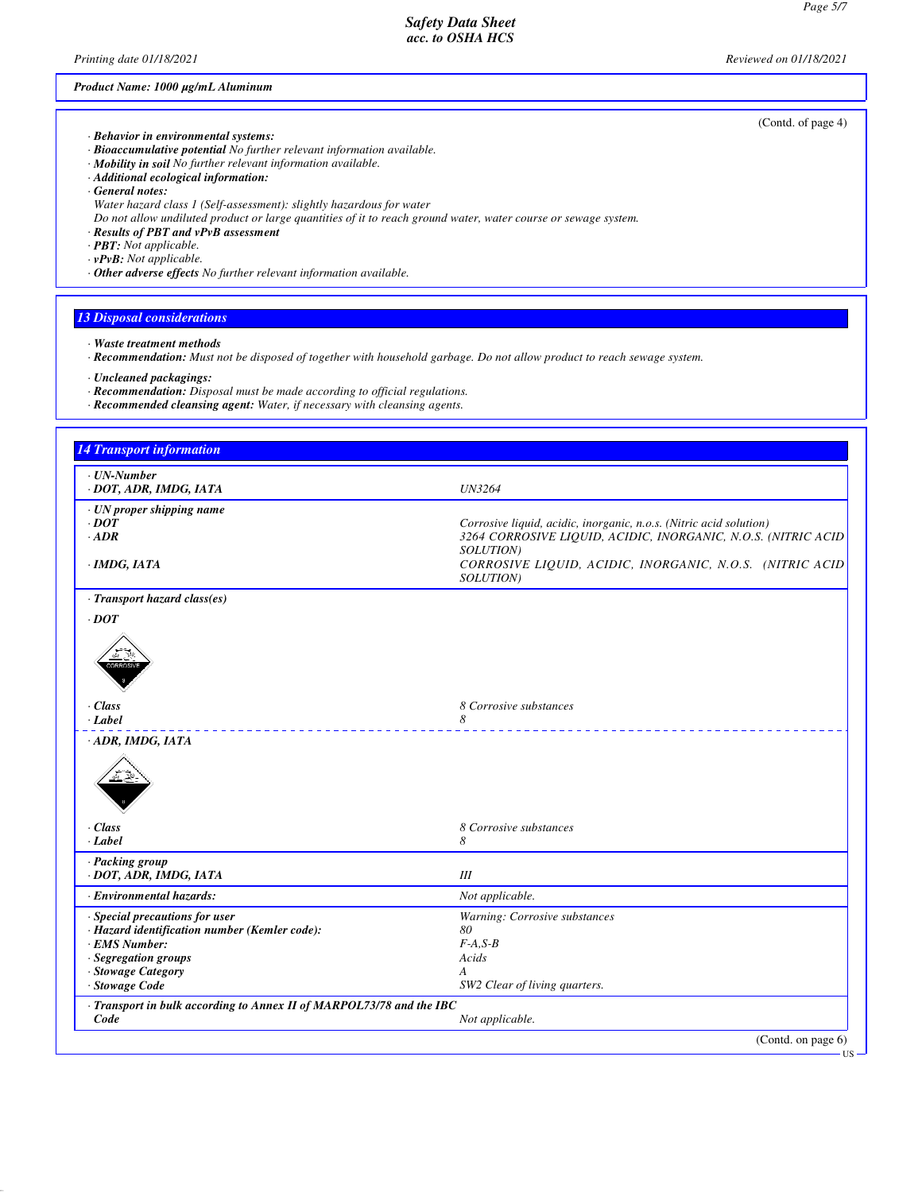## *Product Name: 1000 µg/mL Aluminum*

- *· Behavior in environmental systems:*
- *· Bioaccumulative potential No further relevant information available.*
- *· Mobility in soil No further relevant information available.*
- *· Additional ecological information:*
- *· General notes:*
- *Water hazard class 1 (Self-assessment): slightly hazardous for water*
- *Do not allow undiluted product or large quantities of it to reach ground water, water course or sewage system.*
- *· Results of PBT and vPvB assessment*
- *· PBT: Not applicable.*
- *· vPvB: Not applicable.*
- *· Other adverse effects No further relevant information available.*

# *13 Disposal considerations*

- *· Waste treatment methods*
- *· Recommendation: Must not be disposed of together with household garbage. Do not allow product to reach sewage system.*
- *· Uncleaned packagings:*
- *· Recommendation: Disposal must be made according to official regulations.*
- *· Recommended cleansing agent: Water, if necessary with cleansing agents.*

| <b>14 Transport information</b>                                      |                                                                       |
|----------------------------------------------------------------------|-----------------------------------------------------------------------|
| $\cdot$ UN-Number                                                    |                                                                       |
| · DOT, ADR, IMDG, IATA                                               | <b>UN3264</b>                                                         |
| · UN proper shipping name                                            |                                                                       |
| $\cdot$ DOT                                                          | Corrosive liquid, acidic, inorganic, n.o.s. (Nitric acid solution)    |
| $\cdot$ ADR                                                          | 3264 CORROSIVE LIQUID, ACIDIC, INORGANIC, N.O.S. (NITRIC ACID         |
|                                                                      | SOLUTION)                                                             |
| $\cdot$ IMDG, IATA                                                   | CORROSIVE LIQUID, ACIDIC, INORGANIC, N.O.S. (NITRIC ACID<br>SOLUTION) |
|                                                                      |                                                                       |
| · Transport hazard class(es)                                         |                                                                       |
| $\cdot$ DOT                                                          |                                                                       |
|                                                                      |                                                                       |
| $\cdot$ Class                                                        | 8 Corrosive substances                                                |
| · Label                                                              | 8                                                                     |
| · ADR, IMDG, IATA                                                    |                                                                       |
|                                                                      |                                                                       |
| $\cdot$ Class                                                        | 8 Corrosive substances                                                |
| $-Label$                                                             | 8                                                                     |
| · Packing group                                                      |                                                                       |
| · DOT, ADR, IMDG, IATA                                               | III                                                                   |
| · Environmental hazards:                                             | Not applicable.                                                       |
| · Special precautions for user                                       | Warning: Corrosive substances                                         |
| · Hazard identification number (Kemler code):                        | 80                                                                    |
| · EMS Number:                                                        | $F-A, S-B$                                                            |
| · Segregation groups<br>· Stowage Category                           | Acids<br>А                                                            |
| · Stowage Code                                                       | SW2 Clear of living quarters.                                         |
| · Transport in bulk according to Annex II of MARPOL73/78 and the IBC |                                                                       |
| Code                                                                 | Not applicable.                                                       |
|                                                                      | (Cond. on page 6)                                                     |

(Contd. of page 4)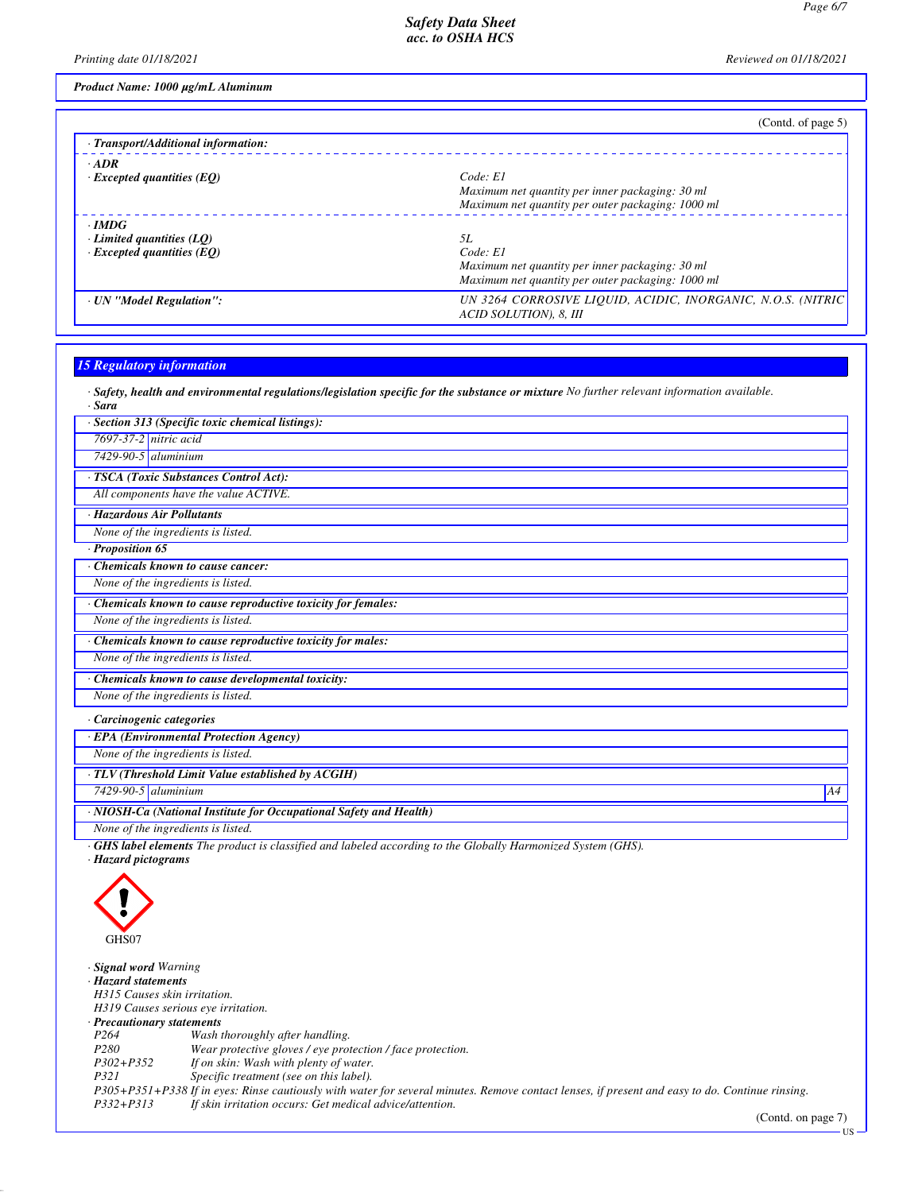*Printing date 01/18/2021 Reviewed on 01/18/2021*

*Product Name: 1000 µg/mL Aluminum*

| Code: El                                                                               |
|----------------------------------------------------------------------------------------|
| Maximum net quantity per inner packaging: 30 ml                                        |
| Maximum net quantity per outer packaging: 1000 ml                                      |
|                                                                                        |
| 5L                                                                                     |
| Code: El                                                                               |
| Maximum net quantity per inner packaging: 30 ml                                        |
| Maximum net quantity per outer packaging: 1000 ml                                      |
| UN 3264 CORROSIVE LIOUID, ACIDIC, INORGANIC, N.O.S. (NITRIC)<br>ACID SOLUTION), 8, III |
|                                                                                        |

# *15 Regulatory information*

*· Safety, health and environmental regulations/legislation specific for the substance or mixture No further relevant information available.*

| · Sara                                                                                                                         |
|--------------------------------------------------------------------------------------------------------------------------------|
| Section 313 (Specific toxic chemical listings):                                                                                |
| $7697 - 37 - 2$ nitric acid                                                                                                    |
| $7429-90-5$ aluminium                                                                                                          |
| · TSCA (Toxic Substances Control Act):                                                                                         |
| All components have the value ACTIVE.                                                                                          |
| · Hazardous Air Pollutants                                                                                                     |
| None of the ingredients is listed.                                                                                             |
| Proposition 65                                                                                                                 |
| Chemicals known to cause cancer:                                                                                               |
| None of the ingredients is listed.                                                                                             |
| Chemicals known to cause reproductive toxicity for females:                                                                    |
| None of the ingredients is listed.                                                                                             |
| Chemicals known to cause reproductive toxicity for males:                                                                      |
| None of the ingredients is listed.                                                                                             |
| Chemicals known to cause developmental toxicity:                                                                               |
| None of the ingredients is listed.                                                                                             |
| Carcinogenic categories                                                                                                        |
| · EPA (Environmental Protection Agency)                                                                                        |
| None of the ingredients is listed.                                                                                             |
| · TLV (Threshold Limit Value established by ACGIH)                                                                             |
| $7429-90-5$ aluminium<br>A4                                                                                                    |
| · NIOSH-Ca (National Institute for Occupational Safety and Health)                                                             |
| None of the ingredients is listed.                                                                                             |
| <b>GHS label elements</b> The product is classified and labeled according to the Globally Harmonized System (GHS).<br>$H = -1$ |

*· Hazard pictograms*



*· Signal word Warning*

*· Hazard statements*

*H315 Causes skin irritation.*

*H319 Causes serious eye irritation.*

*· Precautionary statements*

*P264 Wash thoroughly after handling.*

*Wear protective gloves / eye protection / face protection.* 

*P302+P352 If on skin: Wash with plenty of water.*

Specific treatment (see on this label).

*P305+P351+P338 If in eyes: Rinse cautiously with water for several minutes. Remove contact lenses, if present and easy to do. Continue rinsing.*

*P332+P313 If skin irritation occurs: Get medical advice/attention.*

(Contd. on page 7) US